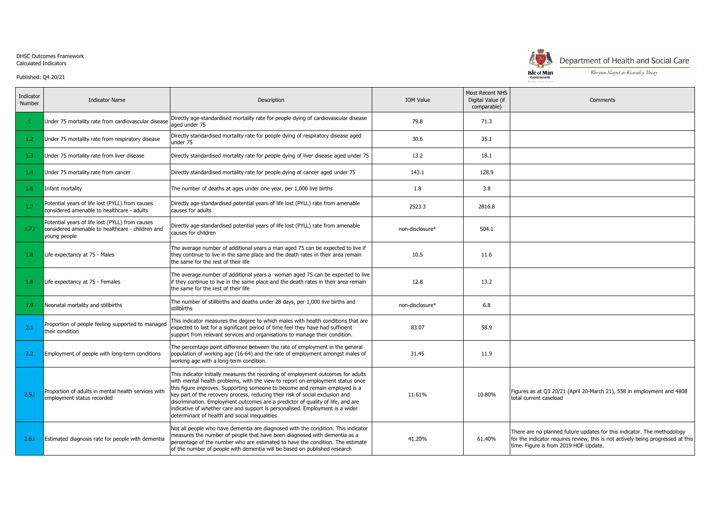## DHSC Outcomes Framework Calculated Indicators

Published: Q4 20/21

| Indicator<br><b>Number</b> | <b>Indicator Name</b>                                                                                               | Description                                                                                                                                                                                                                                                                                                                                                                                                                                                                                                                                              | <b>IOM Value</b> | Most Recent<br>Digital Valu<br>comparat |
|----------------------------|---------------------------------------------------------------------------------------------------------------------|----------------------------------------------------------------------------------------------------------------------------------------------------------------------------------------------------------------------------------------------------------------------------------------------------------------------------------------------------------------------------------------------------------------------------------------------------------------------------------------------------------------------------------------------------------|------------------|-----------------------------------------|
| 1.                         | Under 75 mortality rate from cardiovascular disease                                                                 | Directly age-standardised mortality rate for people dying of cardiovascular disease<br>aged under 75                                                                                                                                                                                                                                                                                                                                                                                                                                                     | 79.8             | 71.3                                    |
| 1.2                        | Under 75 mortality rate from respiratory disease                                                                    | Directly standardised mortality rate for people dying of respiratory disease aged<br>under 75                                                                                                                                                                                                                                                                                                                                                                                                                                                            | 30.6             | 35.1                                    |
| 1.3                        | Under 75 mortality rate from liver disease                                                                          | Directly standardised mortality rate for people dying of liver disease aged under 75                                                                                                                                                                                                                                                                                                                                                                                                                                                                     | 13.2             | 18.1                                    |
| 1.4                        | Under 75 mortality rate from cancer                                                                                 | Directly standardised mortality rate for people dying of cancer aged under 75                                                                                                                                                                                                                                                                                                                                                                                                                                                                            | 143.1            | 128.9                                   |
| 1.6                        | Infant mortality                                                                                                    | The number of deaths at ages under one year, per 1,000 live births                                                                                                                                                                                                                                                                                                                                                                                                                                                                                       | 1.8              | 3.8                                     |
| 1.7                        | Potential years of life lost (PYLL) from causes<br>considered amenable to healthcare - adults                       | Directly age-standardised potential years of life lost (PYLL) rate from amenable<br>causes for adults                                                                                                                                                                                                                                                                                                                                                                                                                                                    | 2523.3           | 2816.8                                  |
| 1.7.i                      | Potential years of life lost (PYLL) from causes<br>considered amenable to healthcare - children and<br>young people | Directly age-standardised potential years of life lost (PYLL) rate from amenable<br>causes for children                                                                                                                                                                                                                                                                                                                                                                                                                                                  | non-disclosure*  | 504.1                                   |
| 1.8                        | Life expectancy at 75 - Males                                                                                       | The average number of additional years a man aged 75 can be expected to live if<br>they continue to live in the same place and the death rates in their area remain<br>the same for the rest of their life                                                                                                                                                                                                                                                                                                                                               | 10.5             | 11.6                                    |
| 1.8                        | Life expectancy at 75 - Females                                                                                     | The average number of additional years a woman aged 75 can be expected to live<br>lif they continue to live in the same place and the death rates in their area remain<br>the same for the rest of their life                                                                                                                                                                                                                                                                                                                                            | 12.8             | 13.2                                    |
| 1.9 <sub>z</sub>           | Neonatal mortality and stillbirths                                                                                  | The number of stillbirths and deaths under 28 days, per 1,000 live births and<br>stillbirths                                                                                                                                                                                                                                                                                                                                                                                                                                                             | non-disclosure*  | 6.8                                     |
| 2.1                        | Proportion of people feeling supported to managed<br>their condition                                                | This indicator measures the degree to which males with health conditions that are<br>expected to last for a significant period of time feel they have had sufficient<br>support from relevant services and organisations to manage their condition.                                                                                                                                                                                                                                                                                                      | 83.07            | 58.9                                    |
| 2.2                        | Employment of people with long-term conditions                                                                      | The percentage point difference between the rate of employment in the general<br>population of working age (16-64) and the rate of employment amongst males of<br>working age with a long-term condition.                                                                                                                                                                                                                                                                                                                                                | 31.45            | 11.9                                    |
| 2.5.i                      | Proportion of adults in mental health services with<br>employment status recorded                                   | This indicator initially measures the recording of employment outcomes for adults<br>with mental health problems, with the view to report on employment status once<br>this figure improves. Supporting someone to become and remain employed is a<br>key part of the recovery process, reducing their risk of social exclusion and<br>discrimination. Employment outcomes are a predictor of quality of life, and are<br>indicative of whether care and support is personalised. Employment is a wider<br>determinant of health and social inequalities | 11.61%           | 10.80%                                  |
| 2.6 i                      | Estimated diagnosis rate for people with dementia                                                                   | Not all people who have dementia are diagnosed with the condition. This indicator<br>measures the number of people that have been diagnosed with dementia as a<br>percentage of the number who are estimated to have the condition. The estimate<br>of the number of people with dementia will be based on published research                                                                                                                                                                                                                            | 41.20%           | 61.40%                                  |



## Department of Health and Social Care

Rheynn Slaynt as Kiarail y Theay

|              |                                                     | Reiltys Ellan Vannin                                                                                                                                        |
|--------------|-----------------------------------------------------|-------------------------------------------------------------------------------------------------------------------------------------------------------------|
| OM Value     | Most Recent NHS<br>Digital Value (if<br>comparable) | Comments                                                                                                                                                    |
| 79.8         | 71.3                                                |                                                                                                                                                             |
| 30.6         | 35.1                                                |                                                                                                                                                             |
| 13.2         | 18.1                                                |                                                                                                                                                             |
| 143.1        | 128.9                                               |                                                                                                                                                             |
| $1.8\,$      | 3.8                                                 |                                                                                                                                                             |
| 2523.3       | 2816.8                                              |                                                                                                                                                             |
| -disclosure* | 504.1                                               |                                                                                                                                                             |
| 10.5         | 11.6                                                |                                                                                                                                                             |
| 12.8         | 13.2                                                |                                                                                                                                                             |
| -disclosure* | 6.8                                                 |                                                                                                                                                             |
| 83.07        | 58.9                                                |                                                                                                                                                             |
| 31.45        | 11.9                                                |                                                                                                                                                             |
| 11.61%       | 10.80%                                              | Figures as at Q3 20/21 (April 20-March 21), 558 in employment and 4808<br>total current caseload                                                            |
| 41.20%       | 61.40%                                              | There are no planned future updates for this indicator. The methodology<br>for the indicator requires review, this is not actively being progressed at this |

time. Figure is from 2019 HOF Update.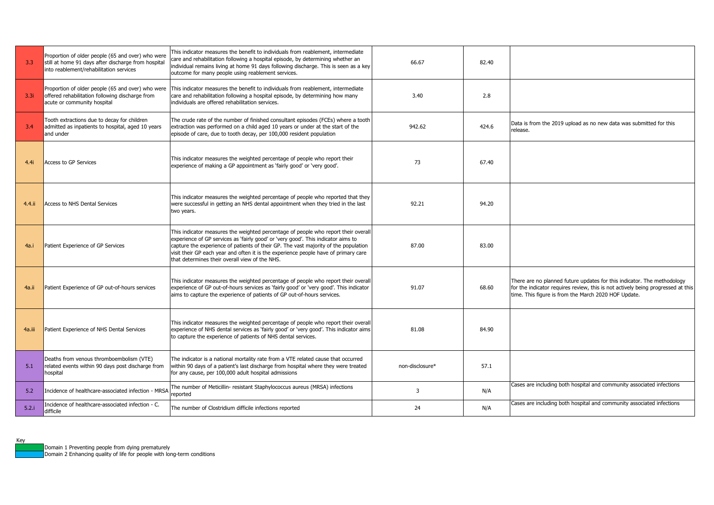| 3.3    | Proportion of older people (65 and over) who were<br>still at home 91 days after discharge from hospital<br>into reablement/rehabilitation services | This indicator measures the benefit to individuals from reablement, intermediate<br>care and rehabilitation following a hospital episode, by determining whether an<br>individual remains living at home 91 days following discharge. This is seen as a key<br>outcome for many people using reablement services.                                                                                       | 66.67           | 82.40 |                                                                                                                                                                                                                     |
|--------|-----------------------------------------------------------------------------------------------------------------------------------------------------|---------------------------------------------------------------------------------------------------------------------------------------------------------------------------------------------------------------------------------------------------------------------------------------------------------------------------------------------------------------------------------------------------------|-----------------|-------|---------------------------------------------------------------------------------------------------------------------------------------------------------------------------------------------------------------------|
| 3.3i   | offered rehabilitation following discharge from<br>acute or community hospital                                                                      | Proportion of older people (65 and over) who were   This indicator measures the benefit to individuals from reablement, intermediate<br>care and rehabilitation following a hospital episode, by determining how many<br>individuals are offered rehabilitation services.                                                                                                                               | 3.40            | 2.8   |                                                                                                                                                                                                                     |
| 3.4    | Tooth extractions due to decay for children<br>admitted as inpatients to hospital, aged 10 years<br>and under                                       | The crude rate of the number of finished consultant episodes (FCEs) where a tooth<br>extraction was performed on a child aged 10 years or under at the start of the<br>episode of care, due to tooth decay, per 100,000 resident population                                                                                                                                                             | 942.62          | 424.6 | Data is from the 2019 upload as no new data was submitted for this<br>release.                                                                                                                                      |
| 4.4i   | <b>Access to GP Services</b>                                                                                                                        | This indicator measures the weighted percentage of people who report their<br>experience of making a GP appointment as 'fairly good' or 'very good'.                                                                                                                                                                                                                                                    | 73              | 67.40 |                                                                                                                                                                                                                     |
| 4.4.ii | Access to NHS Dental Services                                                                                                                       | This indicator measures the weighted percentage of people who reported that they<br>were successful in getting an NHS dental appointment when they tried in the last<br>two years.                                                                                                                                                                                                                      | 92.21           | 94.20 |                                                                                                                                                                                                                     |
| 4a.i   | Patient Experience of GP Services                                                                                                                   | This indicator measures the weighted percentage of people who report their overall<br>experience of GP services as 'fairly good' or 'very good'. This indicator aims to<br>capture the experience of patients of their GP. The vast majority of the population<br>visit their GP each year and often it is the experience people have of primary care<br>that determines their overall view of the NHS. | 87.00           | 83.00 |                                                                                                                                                                                                                     |
| 4a.ii  | Patient Experience of GP out-of-hours services                                                                                                      | This indicator measures the weighted percentage of people who report their overall<br>experience of GP out-of-hours services as 'fairly good' or 'very good'. This indicator<br>aims to capture the experience of patients of GP out-of-hours services.                                                                                                                                                 | 91.07           | 68.60 | There are no planned future updates for this indicator. The methodology<br>for the indicator requires review, this is not actively being progressed at this<br>time. This figure is from the March 2020 HOF Update. |
| 4a.iii | Patient Experience of NHS Dental Services                                                                                                           | This indicator measures the weighted percentage of people who report their overall<br>experience of NHS dental services as 'fairly good' or 'very good'. This indicator aims<br>to capture the experience of patients of NHS dental services.                                                                                                                                                           | 81.08           | 84.90 |                                                                                                                                                                                                                     |
| 5.1    | Deaths from venous thromboembolism (VTE)<br>related events within 90 days post discharge from<br>hospital                                           | The indicator is a national mortality rate from a VTE related cause that occurred<br>within 90 days of a patient's last discharge from hospital where they were treated<br>for any cause, per 100,000 adult hospital admissions                                                                                                                                                                         | non-disclosure* | 57.1  |                                                                                                                                                                                                                     |
| 5.2    | Incidence of healthcare-associated infection - MRSA                                                                                                 | The number of Meticillin- resistant Staphylococcus aureus (MRSA) infections<br>reported                                                                                                                                                                                                                                                                                                                 | 3               | N/A   | Cases are including both hospital and community associated infections                                                                                                                                               |
| 5.2.i  | Incidence of healthcare-associated infection - C.<br>difficile                                                                                      | The number of Clostridium difficile infections reported                                                                                                                                                                                                                                                                                                                                                 | 24              | N/A   | Cases are including both hospital and community associated infections                                                                                                                                               |

Key

Domain 2 Enhancing quality of life for people with long-term conditions

Domain 1 Preventing people from dying prematurely